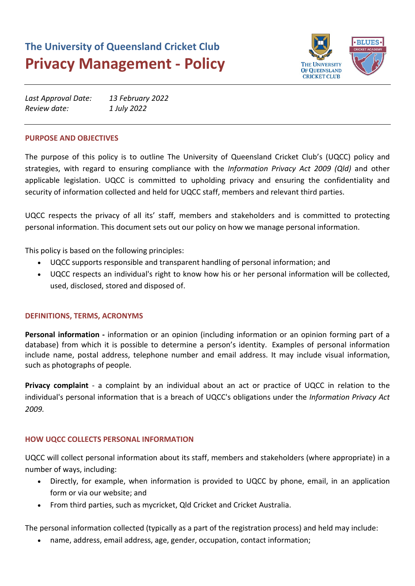# **The University of Queensland Cricket Club Privacy Management - Policy**



| Last Approval Date: | 13 February 2022 |
|---------------------|------------------|
| Review date:        | 1 July 2022      |

#### **PURPOSE AND OBJECTIVES**

The purpose of this policy is to outline The University of Queensland Cricket Club's (UQCC) policy and strategies, with regard to ensuring compliance with the *Information Privacy Act 2009 (Qld)* and other applicable legislation. UQCC is committed to upholding privacy and ensuring the confidentiality and security of information collected and held for UQCC staff, members and relevant third parties.

UQCC respects the privacy of all its' staff, members and stakeholders and is committed to protecting personal information. This document sets out our policy on how we manage personal information.

This policy is based on the following principles:

- UQCC supports responsible and transparent handling of personal information; and
- UQCC respects an individual's right to know how his or her personal information will be collected, used, disclosed, stored and disposed of.

# **DEFINITIONS, TERMS, ACRONYMS**

**Personal information -** information or an opinion (including information or an opinion forming part of a database) from which it is possible to determine a person's identity. Examples of personal information include name, postal address, telephone number and email address. It may include visual information, such as photographs of people.

**Privacy complaint** - a complaint by an individual about an act or practice of UQCC in relation to the individual's personal information that is a breach of UQCC's obligations under the *Information Privacy Act 2009.*

# **HOW UQCC COLLECTS PERSONAL INFORMATION**

UQCC will collect personal information about its staff, members and stakeholders (where appropriate) in a number of ways, including:

- Directly, for example, when information is provided to UQCC by phone, email, in an application form or via our website; and
- From third parties, such as mycricket, Qld Cricket and Cricket Australia.

The personal information collected (typically as a part of the registration process) and held may include:

• name, address, email address, age, gender, occupation, contact information;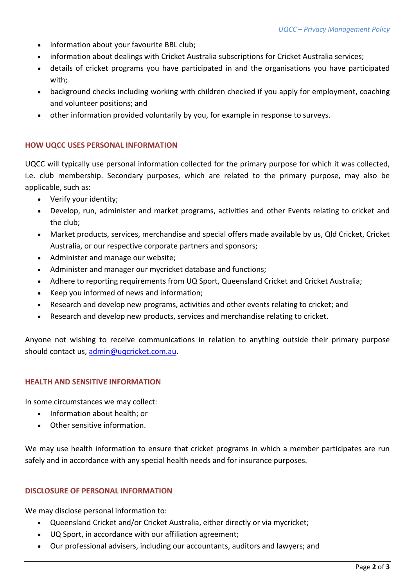- information about your favourite BBL club;
- information about dealings with Cricket Australia subscriptions for Cricket Australia services;
- details of cricket programs you have participated in and the organisations you have participated with;
- background checks including working with children checked if you apply for employment, coaching and volunteer positions; and
- other information provided voluntarily by you, for example in response to surveys.

# **HOW UQCC USES PERSONAL INFORMATION**

UQCC will typically use personal information collected for the primary purpose for which it was collected, i.e. club membership. Secondary purposes, which are related to the primary purpose, may also be applicable, such as:

- Verify your identity;
- Develop, run, administer and market programs, activities and other Events relating to cricket and the club;
- Market products, services, merchandise and special offers made available by us, Qld Cricket, Cricket Australia, or our respective corporate partners and sponsors;
- Administer and manage our website;
- Administer and manager our mycricket database and functions;
- Adhere to reporting requirements from UQ Sport, Queensland Cricket and Cricket Australia;
- Keep you informed of news and information;
- Research and develop new programs, activities and other events relating to cricket; and
- Research and develop new products, services and merchandise relating to cricket.

Anyone not wishing to receive communications in relation to anything outside their primary purpose should contact us, [admin@uqcricket.com.au.](mailto:admin@uqcricket.com.au)

# **HEALTH AND SENSITIVE INFORMATION**

In some circumstances we may collect:

- Information about health; or
- Other sensitive information.

We may use health information to ensure that cricket programs in which a member participates are run safely and in accordance with any special health needs and for insurance purposes.

# **DISCLOSURE OF PERSONAL INFORMATION**

We may disclose personal information to:

- Queensland Cricket and/or Cricket Australia, either directly or via mycricket;
- UQ Sport, in accordance with our affiliation agreement;
- Our professional advisers, including our accountants, auditors and lawyers; and